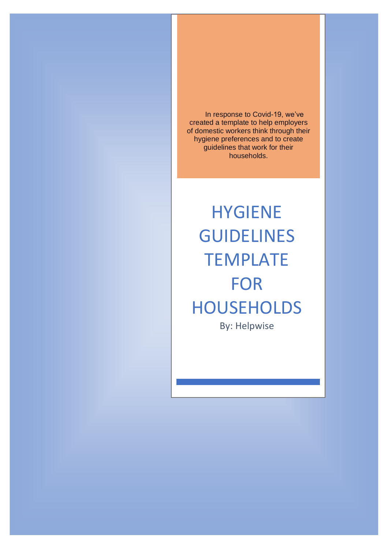In response to Covid-19, we've created a template to help employers of domestic workers think through their hygiene preferences and to create guidelines that work for their households.

**HYGIENE** GUIDELINES **TEMPLATE** FOR **HOUSEHOLDS** 

By: Helpwise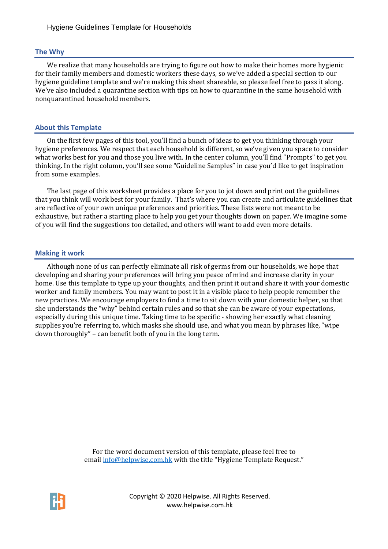#### **The Why**

We realize that many households are trying to figure out how to make their homes more hygienic for their family members and domestic workers these days, so we've added a special section to our hygiene guideline template and we're making this sheet shareable, so please feel free to pass it along. We've also included a quarantine section with tips on how to quarantine in the same household with nonquarantined household members.

#### **About this Template**

On the first few pages of this tool, you'll find a bunch of ideas to get you thinking through your hygiene preferences. We respect that each household is different, so we've given you space to consider what works best for you and those you live with. In the center column, you'll find "Prompts" to get you thinking. In the right column, you'll see some "Guideline Samples" in case you'd like to get inspiration from some examples.

The last page of this worksheet provides a place for you to jot down and print out the guidelines that you think will work best for your family. That's where you can create and articulate guidelines that are reflective of your own unique preferences and priorities. These lists were not meant to be exhaustive, but rather a starting place to help you get your thoughts down on paper. We imagine some of you will find the suggestions too detailed, and others will want to add even more details.

## **Making it work**

Although none of us can perfectly eliminate all risk of germs from our households, we hope that developing and sharing your preferences will bring you peace of mind and increase clarity in your home. Use this template to type up your thoughts, and then print it out and share it with your domestic worker and family members. You may want to post it in a visible place to help people remember the new practices. We encourage employers to find a time to sit down with your domestic helper, so that she understands the "why" behind certain rules and so that she can be aware of your expectations, especially during this unique time. Taking time to be specific - showing her exactly what cleaning supplies you're referring to, which masks she should use, and what you mean by phrases like, "wipe down thoroughly" – can benefit both of you in the long term.

> For the word document version of this template, please feel free to emai[l info@helpwise.com.hk](mailto:info@helpwise.com.hk) with the title "Hygiene Template Request."



Copyright © 2020 Helpwise. All Rights Reserved. www.helpwise.com.hk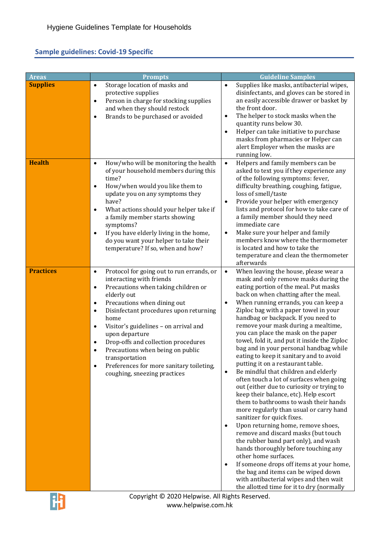# **Sample guidelines: Covid-19 Specific**

| <b>Areas</b>                     | <b>Prompts</b>                                                                                                                                                                                                                                                                                                                                                                                                                                                                                                                              | <b>Guideline Samples</b>                                                                                                                                                                                                                                                                                                                                                                                                                                                                                                                                                                                                                                                                                                                                                                                                                                                                                                                                                                                                                                                                                                                                                                                                                                                     |
|----------------------------------|---------------------------------------------------------------------------------------------------------------------------------------------------------------------------------------------------------------------------------------------------------------------------------------------------------------------------------------------------------------------------------------------------------------------------------------------------------------------------------------------------------------------------------------------|------------------------------------------------------------------------------------------------------------------------------------------------------------------------------------------------------------------------------------------------------------------------------------------------------------------------------------------------------------------------------------------------------------------------------------------------------------------------------------------------------------------------------------------------------------------------------------------------------------------------------------------------------------------------------------------------------------------------------------------------------------------------------------------------------------------------------------------------------------------------------------------------------------------------------------------------------------------------------------------------------------------------------------------------------------------------------------------------------------------------------------------------------------------------------------------------------------------------------------------------------------------------------|
| <b>Supplies</b><br><b>Health</b> | Storage location of masks and<br>$\bullet$<br>protective supplies<br>Person in charge for stocking supplies<br>$\bullet$<br>and when they should restock<br>Brands to be purchased or avoided<br>$\bullet$<br>How/who will be monitoring the health                                                                                                                                                                                                                                                                                         | Supplies like masks, antibacterial wipes,<br>$\bullet$<br>disinfectants, and gloves can be stored in<br>an easily accessible drawer or basket by<br>the front door.<br>The helper to stock masks when the<br>$\bullet$<br>quantity runs below 30.<br>Helper can take initiative to purchase<br>$\bullet$<br>masks from pharmacies or Helper can<br>alert Employer when the masks are<br>running low.<br>$\bullet$                                                                                                                                                                                                                                                                                                                                                                                                                                                                                                                                                                                                                                                                                                                                                                                                                                                            |
|                                  | $\bullet$<br>of your household members during this<br>time?<br>How/when would you like them to<br>$\bullet$<br>update you on any symptoms they<br>have?<br>What actions should your helper take if<br>$\bullet$<br>a family member starts showing<br>symptoms?<br>If you have elderly living in the home,<br>$\bullet$<br>do you want your helper to take their<br>temperature? If so, when and how?                                                                                                                                        | Helpers and family members can be<br>asked to text you if they experience any<br>of the following symptoms: fever,<br>difficulty breathing, coughing, fatigue,<br>loss of smell/taste<br>Provide your helper with emergency<br>$\bullet$<br>lists and protocol for how to take care of<br>a family member should they need<br>immediate care<br>Make sure your helper and family<br>$\bullet$<br>members know where the thermometer<br>is located and how to take the<br>temperature and clean the thermometer<br>afterwards                                                                                                                                                                                                                                                                                                                                                                                                                                                                                                                                                                                                                                                                                                                                                 |
| <b>Practices</b>                 | Protocol for going out to run errands, or<br>$\bullet$<br>interacting with friends<br>Precautions when taking children or<br>$\bullet$<br>elderly out<br>Precautions when dining out<br>$\bullet$<br>Disinfectant procedures upon returning<br>$\bullet$<br>home<br>Visitor's guidelines - on arrival and<br>$\bullet$<br>upon departure<br>Drop-offs and collection procedures<br>$\bullet$<br>Precautions when being on public<br>$\bullet$<br>transportation<br>Preferences for more sanitary toileting,<br>coughing, sneezing practices | When leaving the house, please wear a<br>$\bullet$<br>mask and only remove masks during the<br>eating portion of the meal. Put masks<br>back on when chatting after the meal.<br>When running errands, you can keep a<br>$\bullet$<br>Ziploc bag with a paper towel in your<br>handbag or backpack. If you need to<br>remove your mask during a mealtime,<br>you can place the mask on the paper<br>towel, fold it, and put it inside the Ziploc<br>bag and in your personal handbag while<br>eating to keep it sanitary and to avoid<br>putting it on a restaurant table.<br>Be mindful that children and elderly<br>$\bullet$<br>often touch a lot of surfaces when going<br>out (either due to curiosity or trying to<br>keep their balance, etc). Help escort<br>them to bathrooms to wash their hands<br>more regularly than usual or carry hand<br>sanitizer for quick fixes.<br>Upon returning home, remove shoes,<br>$\bullet$<br>remove and discard masks (but touch<br>the rubber band part only), and wash<br>hands thoroughly before touching any<br>other home surfaces.<br>If someone drops off items at your home,<br>$\bullet$<br>the bag and items can be wiped down<br>with antibacterial wipes and then wait<br>the allotted time for it to dry (normally |

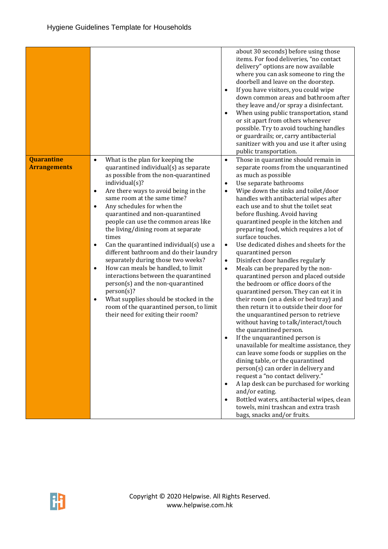|                                          |                                                                                                                                                                                                                                                                                                                                                                                                                                                                                                                                                                                                                                                                                                                                                                                                                                           | about 30 seconds) before using those<br>items. For food deliveries, "no contact<br>delivery" options are now available<br>where you can ask someone to ring the<br>doorbell and leave on the doorstep.<br>If you have visitors, you could wipe<br>$\bullet$<br>down common areas and bathroom after<br>they leave and/or spray a disinfectant.<br>When using public transportation, stand<br>or sit apart from others whenever<br>possible. Try to avoid touching handles<br>or guardrails; or, carry antibacterial<br>sanitizer with you and use it after using<br>public transportation.                                                                                                                                                                                                                                                                                                                                                                                                                                                                                                                                                                                                                                                                                                                                                                                      |
|------------------------------------------|-------------------------------------------------------------------------------------------------------------------------------------------------------------------------------------------------------------------------------------------------------------------------------------------------------------------------------------------------------------------------------------------------------------------------------------------------------------------------------------------------------------------------------------------------------------------------------------------------------------------------------------------------------------------------------------------------------------------------------------------------------------------------------------------------------------------------------------------|---------------------------------------------------------------------------------------------------------------------------------------------------------------------------------------------------------------------------------------------------------------------------------------------------------------------------------------------------------------------------------------------------------------------------------------------------------------------------------------------------------------------------------------------------------------------------------------------------------------------------------------------------------------------------------------------------------------------------------------------------------------------------------------------------------------------------------------------------------------------------------------------------------------------------------------------------------------------------------------------------------------------------------------------------------------------------------------------------------------------------------------------------------------------------------------------------------------------------------------------------------------------------------------------------------------------------------------------------------------------------------|
| <b>Quarantine</b><br><b>Arrangements</b> | What is the plan for keeping the<br>$\bullet$<br>quarantined individual(s) as separate<br>as possible from the non-quarantined<br>individual(s)?<br>Are there ways to avoid being in the<br>$\bullet$<br>same room at the same time?<br>Any schedules for when the<br>$\bullet$<br>quarantined and non-quarantined<br>people can use the common areas like<br>the living/dining room at separate<br>times<br>Can the quarantined individual(s) use a<br>$\bullet$<br>different bathroom and do their laundry<br>separately during those two weeks?<br>How can meals be handled, to limit<br>$\bullet$<br>interactions between the quarantined<br>person(s) and the non-quarantined<br>person(s)?<br>What supplies should be stocked in the<br>$\bullet$<br>room of the quarantined person, to limit<br>their need for exiting their room? | Those in quarantine should remain in<br>$\bullet$<br>separate rooms from the unquarantined<br>as much as possible<br>Use separate bathrooms<br>$\bullet$<br>Wipe down the sinks and toilet/door<br>$\bullet$<br>handles with antibacterial wipes after<br>each use and to shut the toilet seat<br>before flushing. Avoid having<br>quarantined people in the kitchen and<br>preparing food, which requires a lot of<br>surface touches.<br>Use dedicated dishes and sheets for the<br>$\bullet$<br>quarantined person<br>Disinfect door handles regularly<br>$\bullet$<br>Meals can be prepared by the non-<br>$\bullet$<br>quarantined person and placed outside<br>the bedroom or office doors of the<br>quarantined person. They can eat it in<br>their room (on a desk or bed tray) and<br>then return it to outside their door for<br>the unquarantined person to retrieve<br>without having to talk/interact/touch<br>the quarantined person.<br>If the unquarantined person is<br>unavailable for mealtime assistance, they<br>can leave some foods or supplies on the<br>dining table, or the quarantined<br>person(s) can order in delivery and<br>request a "no contact delivery."<br>A lap desk can be purchased for working<br>and/or eating.<br>Bottled waters, antibacterial wipes, clean<br>towels, mini trashcan and extra trash<br>bags, snacks and/or fruits. |

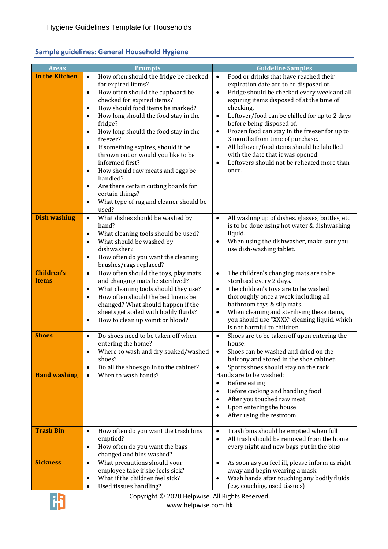## **Sample guidelines: General Household Hygiene**

| <b>Areas</b>                      | <b>Prompts</b>                                                                                                                                                                                                                                                                                                                                                                                                                                                                                                                                                                                                                                              | <b>Guideline Samples</b>                                                                                                                                                                                                                                                                                                                                                                                                                                                                                                                                                            |
|-----------------------------------|-------------------------------------------------------------------------------------------------------------------------------------------------------------------------------------------------------------------------------------------------------------------------------------------------------------------------------------------------------------------------------------------------------------------------------------------------------------------------------------------------------------------------------------------------------------------------------------------------------------------------------------------------------------|-------------------------------------------------------------------------------------------------------------------------------------------------------------------------------------------------------------------------------------------------------------------------------------------------------------------------------------------------------------------------------------------------------------------------------------------------------------------------------------------------------------------------------------------------------------------------------------|
| <b>In the Kitchen</b>             | How often should the fridge be checked<br>$\bullet$<br>for expired items?<br>How often should the cupboard be<br>$\bullet$<br>checked for expired items?<br>How should food items be marked?<br>$\bullet$<br>How long should the food stay in the<br>$\bullet$<br>fridge?<br>How long should the food stay in the<br>$\bullet$<br>freezer?<br>If something expires, should it be<br>$\bullet$<br>thrown out or would you like to be<br>informed first?<br>How should raw meats and eggs be<br>$\bullet$<br>handled?<br>Are there certain cutting boards for<br>$\bullet$<br>certain things?<br>What type of rag and cleaner should be<br>$\bullet$<br>used? | Food or drinks that have reached their<br>$\bullet$<br>expiration date are to be disposed of.<br>Fridge should be checked every week and all<br>$\bullet$<br>expiring items disposed of at the time of<br>checking.<br>Leftover/food can be chilled for up to 2 days<br>$\bullet$<br>before being disposed of.<br>Frozen food can stay in the freezer for up to<br>$\bullet$<br>3 months from time of purchase.<br>All leftover/food items should be labelled<br>$\bullet$<br>with the date that it was opened.<br>Leftovers should not be reheated more than<br>$\bullet$<br>once. |
| <b>Dish washing</b>               | What dishes should be washed by<br>$\bullet$<br>hand?<br>What cleaning tools should be used?<br>$\bullet$<br>What should be washed by<br>$\bullet$<br>dishwasher?<br>How often do you want the cleaning<br>$\bullet$<br>brushes/rags replaced?                                                                                                                                                                                                                                                                                                                                                                                                              | All washing up of dishes, glasses, bottles, etc<br>$\bullet$<br>is to be done using hot water & dishwashing<br>liquid.<br>When using the dishwasher, make sure you<br>$\bullet$<br>use dish-washing tablet.                                                                                                                                                                                                                                                                                                                                                                         |
| <b>Children's</b><br><b>Items</b> | How often should the toys, play mats<br>$\bullet$<br>and changing mats be sterilized?<br>What cleaning tools should they use?<br>$\bullet$<br>How often should the bed linens be<br>$\bullet$<br>changed? What should happen if the<br>sheets get soiled with bodily fluids?<br>How to clean up vomit or blood?<br>$\bullet$                                                                                                                                                                                                                                                                                                                                | The children's changing mats are to be<br>$\bullet$<br>sterilised every 2 days.<br>The children's toys are to be washed<br>$\bullet$<br>thoroughly once a week including all<br>bathroom toys & slip mats.<br>When cleaning and sterilising these items,<br>$\bullet$<br>you should use "XXXX" cleaning liquid, which<br>is not harmful to children.                                                                                                                                                                                                                                |
| <b>Shoes</b>                      | Do shoes need to be taken off when<br>$\bullet$<br>entering the home?<br>Where to wash and dry soaked/washed<br>٠<br>shoes?<br>Do all the shoes go in to the cabinet?<br>$\bullet$                                                                                                                                                                                                                                                                                                                                                                                                                                                                          | Shoes are to be taken off upon entering the<br>$\bullet$<br>house.<br>Shoes can be washed and dried on the<br>balcony and stored in the shoe cabinet.<br>Sports shoes should stay on the rack.<br>$\bullet$                                                                                                                                                                                                                                                                                                                                                                         |
| <b>Hand washing</b>               | When to wash hands?<br>$\bullet$                                                                                                                                                                                                                                                                                                                                                                                                                                                                                                                                                                                                                            | Hands are to be washed:<br>Before eating<br>$\bullet$<br>Before cooking and handling food<br>$\bullet$<br>After you touched raw meat<br>$\bullet$<br>Upon entering the house<br>$\bullet$<br>After using the restroom<br>$\bullet$                                                                                                                                                                                                                                                                                                                                                  |
| <b>Trash Bin</b>                  | How often do you want the trash bins<br>$\bullet$<br>emptied?<br>How often do you want the bags<br>$\bullet$<br>changed and bins washed?                                                                                                                                                                                                                                                                                                                                                                                                                                                                                                                    | Trash bins should be emptied when full<br>$\bullet$<br>All trash should be removed from the home<br>$\bullet$<br>every night and new bags put in the bins                                                                                                                                                                                                                                                                                                                                                                                                                           |
| <b>Sickness</b>                   | What precautions should your<br>$\bullet$<br>employee take if she feels sick?<br>What if the children feel sick?<br>$\bullet$<br>Used tissues handling?<br>٠                                                                                                                                                                                                                                                                                                                                                                                                                                                                                                | As soon as you feel ill, please inform us right<br>$\bullet$<br>away and begin wearing a mask<br>Wash hands after touching any bodily fluids<br>$\bullet$<br>(e.g. couching, used tissues)                                                                                                                                                                                                                                                                                                                                                                                          |



Copyright © 2020 Helpwise. All Rights Reserved.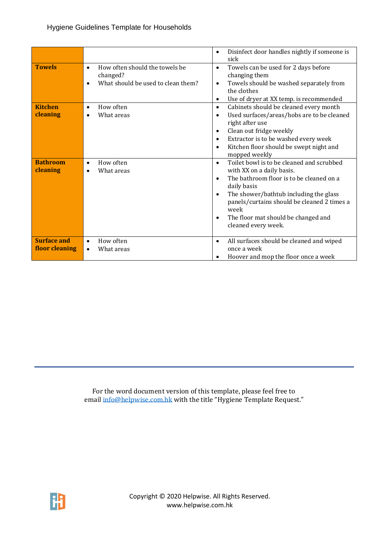|                                      |                                                                                                    | Disinfect door handles nightly if someone is<br>$\bullet$<br>sick                                                                                                                                                                                                                                                          |
|--------------------------------------|----------------------------------------------------------------------------------------------------|----------------------------------------------------------------------------------------------------------------------------------------------------------------------------------------------------------------------------------------------------------------------------------------------------------------------------|
| <b>Towels</b>                        | How often should the towels be<br>$\bullet$<br>changed?<br>What should be used to clean them?<br>٠ | Towels can be used for 2 days before<br>$\bullet$<br>changing them<br>Towels should be washed separately from<br>٠<br>the clothes<br>Use of dryer at XX temp. is recommended<br>$\bullet$                                                                                                                                  |
| <b>Kitchen</b><br>cleaning           | How often<br>$\bullet$<br>What areas                                                               | Cabinets should be cleaned every month<br>$\bullet$<br>Used surfaces/areas/hobs are to be cleaned<br>$\bullet$<br>right after use<br>Clean out fridge weekly<br>$\bullet$<br>Extractor is to be washed every week<br>٠<br>Kitchen floor should be swept night and<br>mopped weekly                                         |
| <b>Bathroom</b><br>cleaning          | How often<br>$\bullet$<br>What areas                                                               | Toilet bowl is to be cleaned and scrubbed<br>$\bullet$<br>with XX on a daily basis.<br>The bathroom floor is to be cleaned on a<br>daily basis<br>The shower/bathtub including the glass<br>panels/curtains should be cleaned 2 times a<br>week<br>The floor mat should be changed and<br>$\bullet$<br>cleaned every week. |
| <b>Surface and</b><br>floor cleaning | How often<br>$\bullet$<br>What areas                                                               | All surfaces should be cleaned and wiped<br>$\bullet$<br>once a week<br>Hoover and mop the floor once a week                                                                                                                                                                                                               |

For the word document version of this template, please feel free to emai[l info@helpwise.com.hk](mailto:info@helpwise.com.hk) with the title "Hygiene Template Request."



Copyright © 2020 Helpwise. All Rights Reserved. www.helpwise.com.hk